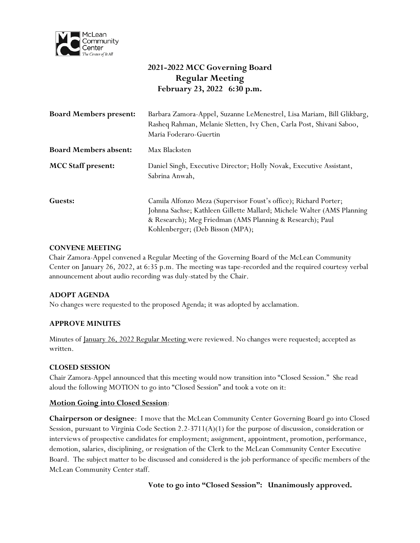

# **2021-2022 MCC Governing Board Regular Meeting February 23, 2022 6:30 p.m.**

| <b>Board Members present:</b> | Barbara Zamora-Appel, Suzanne LeMenestrel, Lisa Mariam, Bill Glikbarg,<br>Rasheq Rahman, Melanie Sletten, Ivy Chen, Carla Post, Shivani Saboo,<br>Maria Foderaro-Guertin                                                                     |
|-------------------------------|----------------------------------------------------------------------------------------------------------------------------------------------------------------------------------------------------------------------------------------------|
| <b>Board Members absent:</b>  | Max Blacksten                                                                                                                                                                                                                                |
| <b>MCC Staff present:</b>     | Daniel Singh, Executive Director; Holly Novak, Executive Assistant,<br>Sabrina Anwah,                                                                                                                                                        |
| Guests:                       | Camila Alfonzo Meza (Supervisor Foust's office); Richard Porter;<br>Johnna Sachse; Kathleen Gillette Mallard; Michele Walter (AMS Planning)<br>& Research); Meg Friedman (AMS Planning & Research); Paul<br>Kohlenberger; (Deb Bisson (MPA); |

### **CONVENE MEETING**

Chair Zamora-Appel convened a Regular Meeting of the Governing Board of the McLean Community Center on January 26, 2022, at 6:35 p.m. The meeting was tape-recorded and the required courtesy verbal announcement about audio recording was duly-stated by the Chair.

### **ADOPT AGENDA**

No changes were requested to the proposed Agenda; it was adopted by acclamation.

### **APPROVE MINUTES**

Minutes of January 26, 2022 Regular Meeting were reviewed. No changes were requested; accepted as written.

### **CLOSED SESSION**

Chair Zamora-Appel announced that this meeting would now transition into "Closed Session." She read aloud the following MOTION to go into "Closed Session" and took a vote on it:

### **Motion Going into Closed Session**:

**Chairperson or designee**: I move that the McLean Community Center Governing Board go into Closed Session, pursuant to Virginia Code Section 2.2-3711(A)(1) for the purpose of discussion, consideration or interviews of prospective candidates for employment; assignment, appointment, promotion, performance, demotion, salaries, disciplining, or resignation of the Clerk to the McLean Community Center Executive Board. The subject matter to be discussed and considered is the job performance of specific members of the McLean Community Center staff.

**Vote to go into "Closed Session": Unanimously approved.**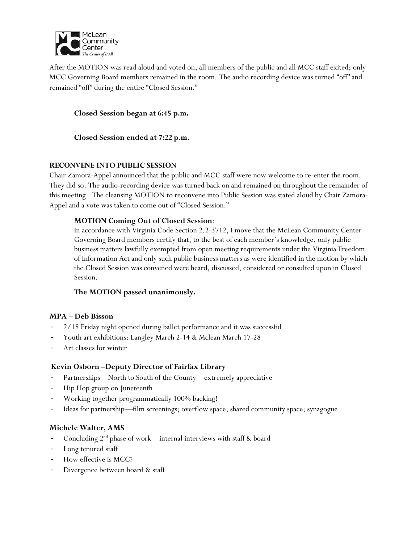

After the MOTION was read aloud and voted on, all members of the public and all MCC staff exited; only MCC Governing Board members remained in the room. The audio recording device was turned "off" and remained "off" during the entire "Closed Session."

**Closed Session began at 6:45 p.m.**

**Closed Session ended at 7:22 p.m.**

### **RECONVENE INTO PUBLIC SESSION**

Chair Zamora-Appel announced that the public and MCC staff were now welcome to re-enter the room. They did so. The audio-recording device was turned back on and remained on throughout the remainder of this meeting. The cleansing MOTION to reconvene into Public Session was stated aloud by Chair Zamora-Appel and a vote was taken to come out of "Closed Session:"

### **MOTION Coming Out of Closed Session**:

In accordance with Virginia Code Section 2.2-3712, I move that the McLean Community Center Governing Board members certify that, to the best of each member's knowledge, only public business matters lawfully exempted from open meeting requirements under the Virginia Freedom of Information Act and only such public business matters as were identified in the motion by which the Closed Session was convened were heard, discussed, considered or consulted upon in Closed Session.

# **The MOTION passed unanimously.**

### **MPA – Deb Bisson**

- 2/18 Friday night opened during ballet performance and it was successful
- Youth art exhibitions: Langley March 2-14 & Mclean March 17-28
- Art classes for winter

# **Kevin Osborn –Deputy Director of Fairfax Library**

- Partnerships North to South of the County—extremely appreciative
- Hip Hop group on Juneteenth
- Working together programmatically 100% backing!
- Ideas for partnership—film screenings; overflow space; shared community space; synagogue

# **Michele Walter, AMS**

- Concluding 2<sup>nd</sup> phase of work—internal interviews with staff & board
- Long tenured staff
- How effective is MCC?
- Divergence between board & staff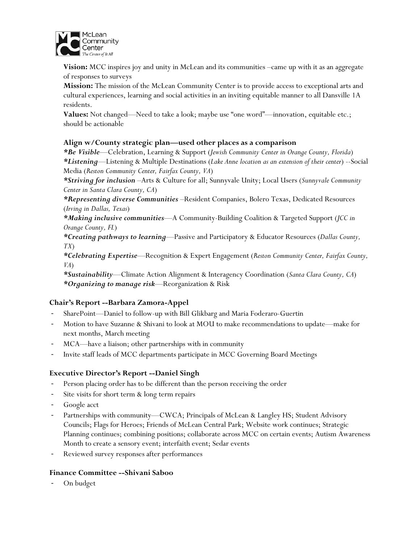

**Vision:** MCC inspires joy and unity in McLean and its communities –came up with it as an aggregate of responses to surveys

**Mission:** The mission of the McLean Community Center is to provide access to exceptional arts and cultural experiences, learning and social activities in an inviting equitable manner to all Dansville 1A residents.

**Values:** Not changed—Need to take a look; maybe use "one word"—innovation, equitable etc.; should be actionable

### **Align w/County strategic plan—used other places as a comparison**

*\*Be Visible*—Celebration, Learning & Support (*Jewish Community Center in Orange County, Florida*) *\*Listening*—Listening & Multiple Destinations (*Lake Anne location as an extension of their center*) --Social Media (*Reston Community Center, Fairfax County, VA*)

*\*Striving for inclusion* –Arts & Culture for all; Sunnyvale Unity; Local Users (*Sunnyvale Community Center in Santa Clara County, CA*)

*\*Representing diverse Communities* –Resident Companies, Bolero Texas, Dedicated Resources (*Irving in Dallas, Texas*)

*\*Making inclusive communities*—A Community-Building Coalition & Targeted Support (*JCC in Orange County, FL*)

*\*Creating pathways to learning*—Passive and Participatory & Educator Resources (*Dallas County, TX*)

*\*Celebrating Expertise*—Recognition & Expert Engagement (*Reston Community Center, Fairfax County, VA*)

*\*Sustainability*—Climate Action Alignment & Interagency Coordination (*Santa Clara County, CA*) *\*Organizing to manage risk*—Reorganization & Risk

### **Chair's Report --Barbara Zamora-Appel**

- SharePoint—Daniel to follow-up with Bill Glikbarg and Maria Foderaro-Guertin
- Motion to have Suzanne & Shivani to look at MOU to make recommendations to update—make for next months, March meeting
- MCA-have a liaison; other partnerships with in community
- Invite staff leads of MCC departments participate in MCC Governing Board Meetings

#### **Executive Director's Report --Daniel Singh**

- Person placing order has to be different than the person receiving the order
- Site visits for short term & long term repairs
- Google acct
- Partnerships with community—CWCA; Principals of McLean & Langley HS; Student Advisory Councils; Flags for Heroes; Friends of McLean Central Park; Website work continues; Strategic Planning continues; combining positions; collaborate across MCC on certain events; Autism Awareness Month to create a sensory event; interfaith event; Sedar events
- Reviewed survey responses after performances

#### **Finance Committee --Shivani Saboo**

- On budget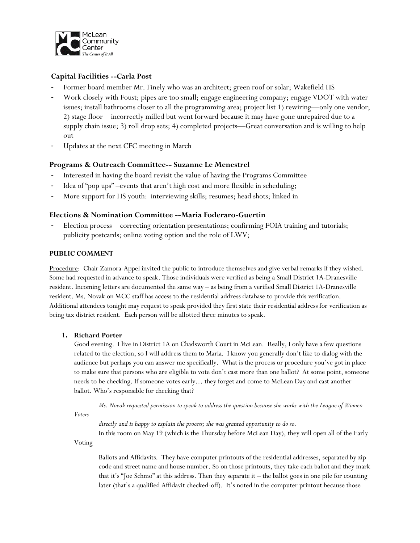

## **Capital Facilities --Carla Post**

- Former board member Mr. Finely who was an architect; green roof or solar; Wakefield HS
- Work closely with Foust; pipes are too small; engage engineering company; engage VDOT with water issues; install bathrooms closer to all the programming area; project list 1) rewiring—only one vendor; 2) stage floor—incorrectly milled but went forward because it may have gone unrepaired due to a supply chain issue; 3) roll drop sets; 4) completed projects—Great conversation and is willing to help out
- Updates at the next CFC meeting in March

### **Programs & Outreach Committee-- Suzanne Le Menestrel**

- Interested in having the board revisit the value of having the Programs Committee
- Idea of "pop ups" –events that aren't high cost and more flexible in scheduling;
- More support for HS youth: interviewing skills; resumes; head shots; linked in

### **Elections & Nomination Committee --Maria Foderaro-Guertin**

Election process—correcting orientation presentations; confirming FOIA training and tutorials; publicity postcards; online voting option and the role of LWV;

#### **PUBLIC COMMENT**

Procedure: Chair Zamora-Appel invited the public to introduce themselves and give verbal remarks if they wished. Some had requested in advance to speak. Those individuals were verified as being a Small District 1A-Dranesville resident. Incoming letters are documented the same way – as being from a verified Small District 1A-Dranesville resident. Ms. Novak on MCC staff has access to the residential address database to provide this verification. Additional attendees tonight may request to speak provided they first state their residential address for verification as being tax district resident. Each person will be allotted three minutes to speak.

### **1. Richard Porter**

Good evening. I live in District 1A on Chadsworth Court in McLean. Really, I only have a few questions related to the election, so I will address them to Maria. I know you generally don't like to dialog with the audience but perhaps you can answer me specifically. What is the process or procedure you've got in place to make sure that persons who are eligible to vote don't cast more than one ballot? At some point, someone needs to be checking. If someone votes early… they forget and come to McLean Day and cast another ballot. Who's responsible for checking that?

 *Ms. Novak requested permission to speak to address the question because she works with the League of Women* 

*Voters* 

*directly and is happy to explain the process; she was granted opportunity to do so.* In this room on May 19 (which is the Thursday before McLean Day), they will open all of the Early

Voting

Ballots and Affidavits. They have computer printouts of the residential addresses, separated by zip code and street name and house number. So on those printouts, they take each ballot and they mark that it's "Joe Schmo" at this address. Then they separate it – the ballot goes in one pile for counting later (that's a qualified Affidavit checked-off). It's noted in the computer printout because those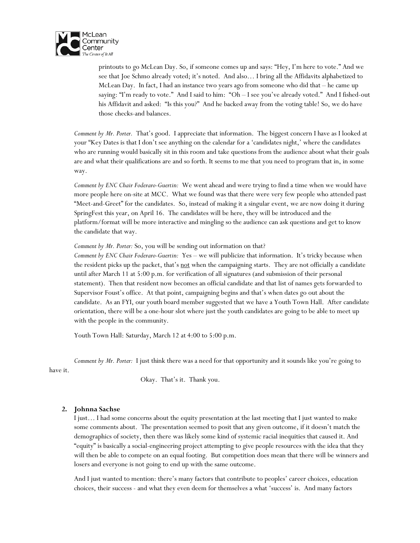

printouts to go McLean Day. So, if someone comes up and says: "Hey, I'm here to vote." And we see that Joe Schmo already voted; it's noted. And also… I bring all the Affidavits alphabetized to McLean Day. In fact, I had an instance two years ago from someone who did that – he came up saying: "I'm ready to vote." And I said to him: "Oh – I see you've already voted." And I fished-out his Affidavit and asked: "Is this you?" And he backed away from the voting table! So, we do have those checks-and balances.

*Comment by Mr. Porter.* That's good. I appreciate that information. The biggest concern I have as I looked at your "Key Dates is that I don't see anything on the calendar for a 'candidates night,' where the candidates who are running would basically sit in this room and take questions from the audience about what their goals are and what their qualifications are and so forth. It seems to me that you need to program that in, in some way.

*Comment by ENC Chair Foderaro-Guertin:* We went ahead and were trying to find a time when we would have more people here on-site at MCC. What we found was that there were very few people who attended past "Meet-and-Greet" for the candidates. So, instead of making it a singular event, we are now doing it during SpringFest this year, on April 16. The candidates will be here, they will be introduced and the platform/format will be more interactive and mingling so the audience can ask questions and get to know the candidate that way.

*Comment by Mr. Porter:* So, you will be sending out information on that?

*Comment by ENC Chair Foderaro-Guertin:* Yes – we will publicize that information. It's tricky because when the resident picks up the packet, that's not when the campaigning starts. They are not officially a candidate until after March 11 at 5:00 p.m. for verification of all signatures (and submission of their personal statement). Then that resident now becomes an official candidate and that list of names gets forwarded to Supervisor Foust's office. At that point, campaigning begins and that's when dates go out about the candidate. As an FYI, our youth board member suggested that we have a Youth Town Hall. After candidate orientation, there will be a one-hour slot where just the youth candidates are going to be able to meet up with the people in the community.

Youth Town Hall: Saturday, March 12 at 4:00 to 5:00 p.m.

*Comment by Mr. Porter:* I just think there was a need for that opportunity and it sounds like you're going to

have it.

Okay. That's it. Thank you.

#### **2. Johnna Sachse**

I just… I had some concerns about the equity presentation at the last meeting that I just wanted to make some comments about. The presentation seemed to posit that any given outcome, if it doesn't match the demographics of society, then there was likely some kind of systemic racial inequities that caused it. And "equity" is basically a social-engineering project attempting to give people resources with the idea that they will then be able to compete on an equal footing. But competition does mean that there will be winners and losers and everyone is not going to end up with the same outcome.

And I just wanted to mention: there's many factors that contribute to peoples' career choices, education choices, their success - and what they even deem for themselves a what 'success' is. And many factors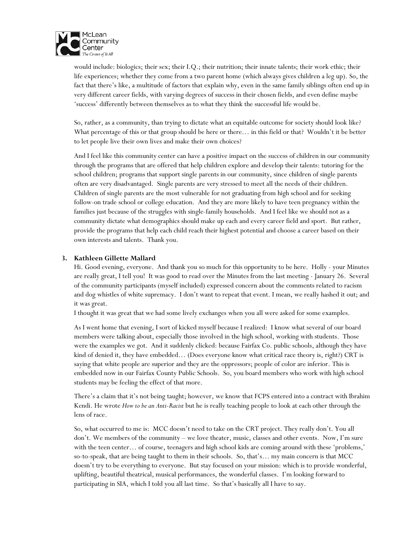

would include: biologics; their sex; their I.Q.; their nutrition; their innate talents; their work ethic; their life experiences; whether they come from a two parent home (which always gives children a leg up). So, the fact that there's like, a multitude of factors that explain why, even in the same family siblings often end up in very different career fields, with varying degrees of success in their chosen fields, and even define maybe 'success' differently between themselves as to what they think the successful life would be.

So, rather, as a community, than trying to dictate what an equitable outcome for society should look like? What percentage of this or that group should be here or there… in this field or that? Wouldn't it be better to let people live their own lives and make their own choices?

And I feel like this community center can have a positive impact on the success of children in our community through the programs that are offered that help children explore and develop their talents: tutoring for the school children; programs that support single parents in our community, since children of single parents often are very disadvantaged. Single parents are very stressed to meet all the needs of their children. Children of single parents are the most vulnerable for not graduating from high school and for seeking follow-on trade school or college education. And they are more likely to have teen pregnancy within the families just because of the struggles with single-family households. And I feel like we should not as a community dictate what demographics should make up each and every career field and sport. But rather, provide the programs that help each child reach their highest potential and choose a career based on their own interests and talents. Thank you.

#### **3. Kathleen Gillette Mallard**

Hi. Good evening, everyone. And thank you so much for this opportunity to be here. Holly - your Minutes are really great, I tell you! It was good to read over the Minutes from the last meeting - January 26. Several of the community participants (myself included) expressed concern about the comments related to racism and dog whistles of white supremacy. I don't want to repeat that event. I mean, we really hashed it out; and it was great.

I thought it was great that we had some lively exchanges when you all were asked for some examples.

As I went home that evening, I sort of kicked myself because I realized: I know what several of our board members were talking about, especially those involved in the high school, working with students. Those were the examples we got. And it suddenly clicked: because Fairfax Co. public schools, although they have kind of denied it, they have embedded... (Does everyone know what critical race theory is, right?) CRT is saying that white people are superior and they are the oppressors; people of color are inferior. This is embedded now in our Fairfax County Public Schools. So, you board members who work with high school students may be feeling the effect of that more.

There's a claim that it's not being taught; however, we know that FCPS entered into a contract with Ibrahim Kendi. He wrote *How to be an Anti-Racist* but he is really teaching people to look at each other through the lens of race.

So, what occurred to me is: MCC doesn't need to take on the CRT project. They really don't. You all don't. We members of the community – we love theater, music, classes and other events. Now, I'm sure with the teen center… of course, teenagers and high school kids are coming around with these 'problems,' so-to-speak, that are being taught to them in their schools. So, that's… my main concern is that MCC doesn't try to be everything to everyone. But stay focused on your mission: which is to provide wonderful, uplifting, beautiful theatrical, musical performances, the wonderful classes. I'm looking forward to participating in SIA, which I told you all last time. So that's basically all I have to say.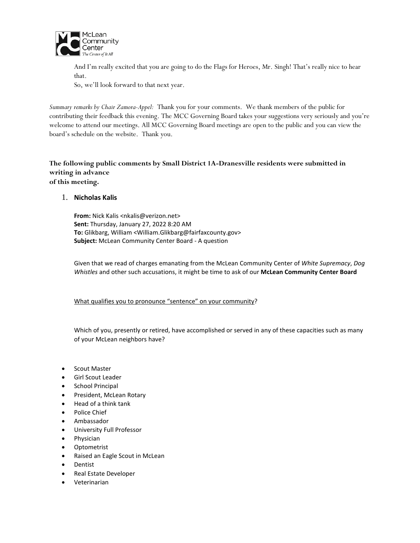

And I'm really excited that you are going to do the Flags for Heroes, Mr. Singh! That's really nice to hear that.

So, we'll look forward to that next year.

*Summary remarks by Chair Zamora-Appel:* Thank you for your comments. We thank members of the public for contributing their feedback this evening. The MCC Governing Board takes your suggestions very seriously and you're welcome to attend our meetings. All MCC Governing Board meetings are open to the public and you can view the board's schedule on the website. Thank you.

### **The following public comments by Small District 1A-Dranesville residents were submitted in writing in advance of this meeting.**

1. **Nicholas Kalis**

**From:** Nick Kalis <nkalis@verizon.net> **Sent:** Thursday, January 27, 2022 8:20 AM **To:** Glikbarg, William <William.Glikbarg@fairfaxcounty.gov> **Subject:** McLean Community Center Board - A question

Given that we read of charges emanating from the McLean Community Center of *White Supremacy*, *Dog Whistles* and other such accusations, it might be time to ask of our **McLean Community Center Board**

What qualifies you to pronounce "sentence" on your community?

Which of you, presently or retired, have accomplished or served in any of these capacities such as many of your McLean neighbors have?

- Scout Master
- Girl Scout Leader
- School Principal
- President, McLean Rotary
- Head of a think tank
- Police Chief
- Ambassador
- University Full Professor
- Physician
- Optometrist
- Raised an Eagle Scout in McLean
- Dentist
- Real Estate Developer
- Veterinarian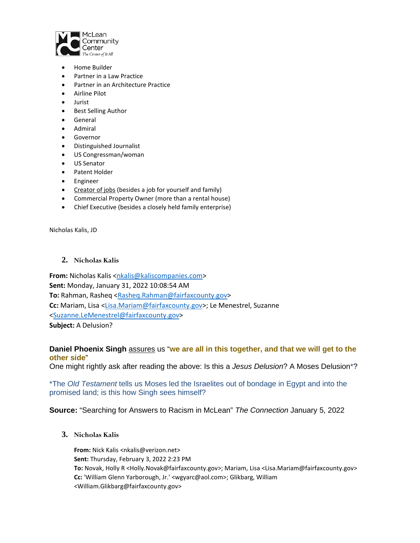

- Home Builder
- Partner in a Law Practice
- Partner in an Architecture Practice
- Airline Pilot
- Jurist
- Best Selling Author
- General
- Admiral
- Governor
- Distinguished Journalist
- US Congressman/woman
- US Senator
- Patent Holder
- Engineer
- Creator of jobs (besides a job for yourself and family)
- Commercial Property Owner (more than a rental house)
- Chief Executive (besides a closely held family enterprise)

Nicholas Kalis, JD

#### **2. Nicholas Kalis**

**From:** Nicholas Kalis [<nkalis@kaliscompanies.com>](mailto:nkalis@kaliscompanies.com) **Sent:** Monday, January 31, 2022 10:08:54 AM **To:** Rahman, Rasheq [<Rasheq.Rahman@fairfaxcounty.gov>](mailto:Rasheq.Rahman@fairfaxcounty.gov) **Cc:** Mariam, Lisa [<Lisa.Mariam@fairfaxcounty.gov>](mailto:Lisa.Mariam@fairfaxcounty.gov); Le Menestrel, Suzanne [<Suzanne.LeMenestrel@fairfaxcounty.gov>](mailto:Suzanne.LeMenestrel@fairfaxcounty.gov) **Subject:** A Delusion?

### **Daniel Phoenix Singh** assures us "**we are all in this together, and that we will get to the other side**"

One might rightly ask after reading the above: Is this a *Jesus Delusion*? A Moses Delusion\*?

### \*The *Old Testament* tells us Moses led the Israelites out of bondage in Egypt and into the promised land; is this how Singh sees himself?

### **Source:** "Searching for Answers to Racism in McLean" *The Connection* January 5, 2022

**3. Nicholas Kalis**

**From:** Nick Kalis <nkalis@verizon.net> **Sent:** Thursday, February 3, 2022 2:23 PM **To:** Novak, Holly R <Holly.Novak@fairfaxcounty.gov>; Mariam, Lisa <Lisa.Mariam@fairfaxcounty.gov> **Cc:** 'William Glenn Yarborough, Jr.' <wgyarc@aol.com>; Glikbarg, William <William.Glikbarg@fairfaxcounty.gov>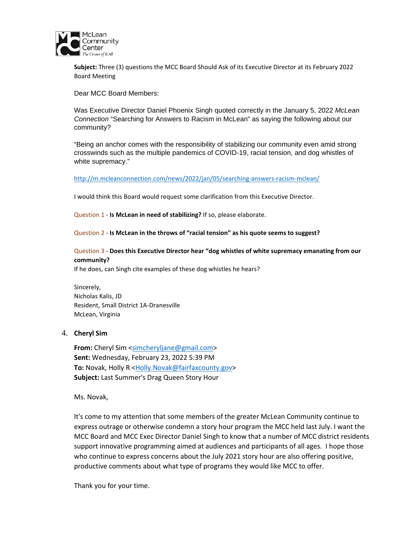

**Subject:** Three (3) questions the MCC Board Should Ask of its Executive Director at its February 2022 Board Meeting

Dear MCC Board Members:

Was Executive Director Daniel Phoenix Singh quoted correctly in the January 5, 2022 *McLean Connection* "Searching for Answers to Racism in McLean" as saying the following about our community?

"Being an anchor comes with the responsibility of stabilizing our community even amid strong crosswinds such as the multiple pandemics of COVID-19, racial tension, and dog whistles of white supremacy."

<http://m.mcleanconnection.com/news/2022/jan/05/searching-answers-racism-mclean/>

I would think this Board would request some clarification from this Executive Director.

Question 1 - **Is McLean in need of stabilizing?** If so, please elaborate.

Question 2 - **Is McLean in the throws of "racial tension" as his quote seems to suggest?**

Question 3 - **Does this Executive Director hear "dog whistles of white supremacy emanating from our community?**

If he does, can Singh cite examples of these dog whistles he hears?

Sincerely, Nicholas Kalis, JD Resident, Small District 1A-Dranesville McLean, Virginia

#### 4. **Cheryl Sim**

**From:** Cheryl Sim [<simcheryljane@gmail.com>](mailto:simcheryljane@gmail.com) **Sent:** Wednesday, February 23, 2022 5:39 PM **To:** Novak, Holly R [<Holly.Novak@fairfaxcounty.gov>](mailto:Holly.Novak@fairfaxcounty.gov) **Subject:** Last Summer's Drag Queen Story Hour

Ms. Novak,

It's come to my attention that some members of the greater McLean Community continue to express outrage or otherwise condemn a story hour program the MCC held last July. I want the MCC Board and MCC Exec Director Daniel Singh to know that a number of MCC district residents support innovative programming aimed at audiences and participants of all ages. I hope those who continue to express concerns about the July 2021 story hour are also offering positive, productive comments about what type of programs they would like MCC to offer.

Thank you for your time.